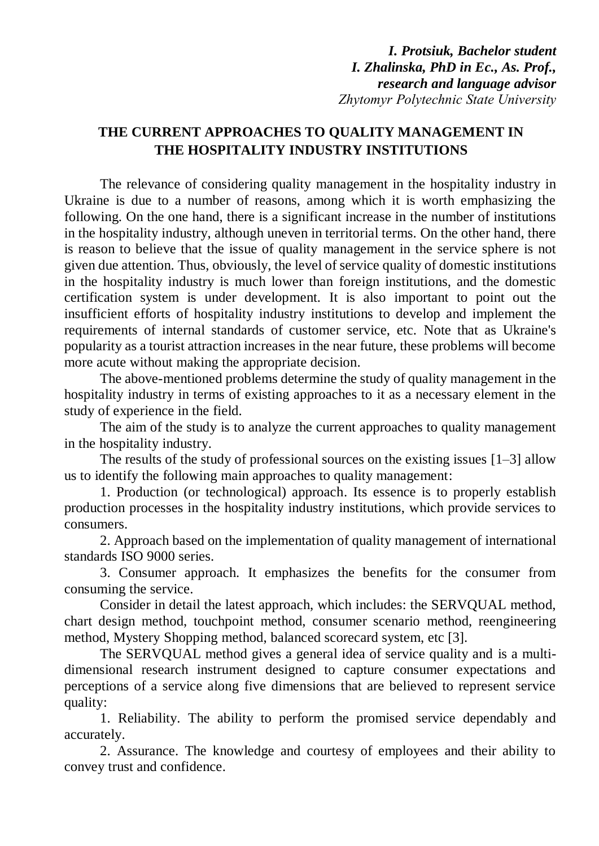*I. Protsiuk, Bachelor student I. Zhalinska, PhD in Ec., As. Prof., research and language advisor Zhytomyr Polytechnic State University*

## **THE CURRENT APPROACHES TO QUALITY MANAGEMENT IN THE HOSPITALITY INDUSTRY INSTITUTIONS**

The relevance of considering quality management in the hospitality industry in Ukraine is due to a number of reasons, among which it is worth emphasizing the following. On the one hand, there is a significant increase in the number of institutions in the hospitality industry, although uneven in territorial terms. On the other hand, there is reason to believe that the issue of quality management in the service sphere is not given due attention. Thus, obviously, the level of service quality of domestic institutions in the hospitality industry is much lower than foreign institutions, and the domestic certification system is under development. It is also important to point out the insufficient efforts of hospitality industry institutions to develop and implement the requirements of internal standards of customer service, etc. Note that as Ukraine's popularity as a tourist attraction increases in the near future, these problems will become more acute without making the appropriate decision.

The above-mentioned problems determine the study of quality management in the hospitality industry in terms of existing approaches to it as a necessary element in the study of experience in the field.

The aim of the study is to analyze the current approaches to quality management in the hospitality industry.

The results of the study of professional sources on the existing issues [1–3] allow us to identify the following main approaches to quality management:

1. Production (or technological) approach. Its essence is to properly establish production processes in the hospitality industry institutions, which provide services to consumers.

2. Approach based on the implementation of quality management of international standards ISO 9000 series.

3. Consumer approach. It emphasizes the benefits for the consumer from consuming the service.

Consider in detail the latest approach, which includes: the SERVQUAL method, chart design method, touchpoint method, consumer scenario method, reengineering method, Mystery Shopping method, balanced scorecard system, etc [3].

The SERVQUAL method gives a general idea of service quality and is a multidimensional research instrument designed to capture consumer expectations and perceptions of a service along five dimensions that are believed to represent service quality:

1. Reliability. The ability to perform the promised service dependably and accurately.

2. Assurance. The knowledge and courtesy of employees and their ability to convey trust and confidence.